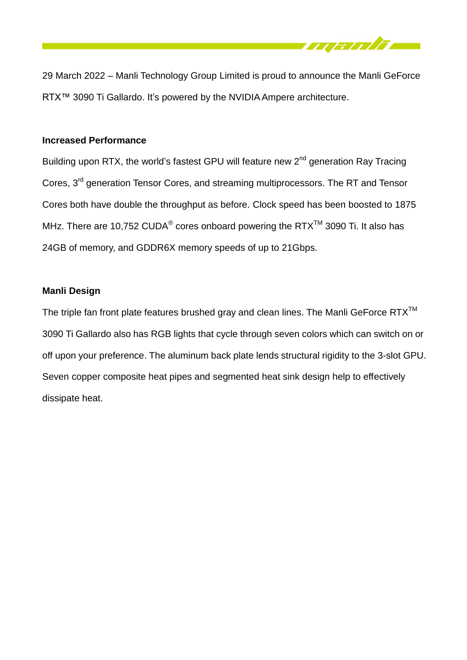

29 March 2022 – Manli Technology Group Limited is proud to announce the Manli GeForce RTX™ 3090 Ti Gallardo. It's powered by the NVIDIA Ampere architecture.

## **Increased Performance**

Building upon RTX, the world's fastest GPU will feature new 2<sup>nd</sup> generation Ray Tracing Cores, 3<sup>rd</sup> generation Tensor Cores, and streaming multiprocessors. The RT and Tensor Cores both have double the throughput as before. Clock speed has been boosted to 1875 MHz. There are 10,752 CUDA® cores onboard powering the RTX<sup>TM</sup> 3090 Ti. It also has 24GB of memory, and GDDR6X memory speeds of up to 21Gbps.

## **Manli Design**

The triple fan front plate features brushed gray and clean lines. The Manli GeForce  $RTX^{TM}$ 3090 Ti Gallardo also has RGB lights that cycle through seven colors which can switch on or off upon your preference. The aluminum back plate lends structural rigidity to the 3-slot GPU. Seven copper composite heat pipes and segmented heat sink design help to effectively dissipate heat.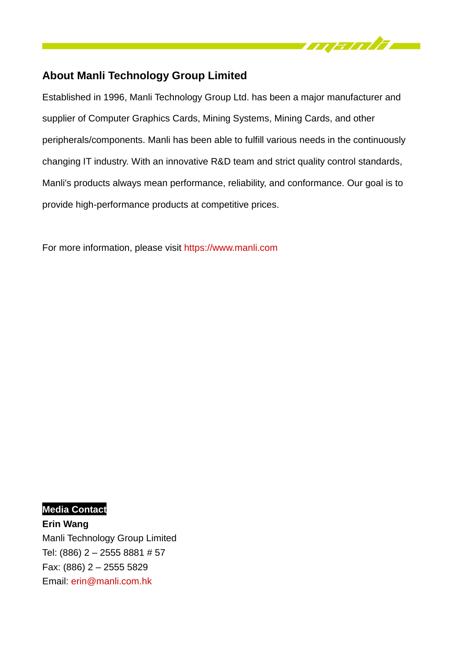

# **About Manli Technology Group Limited**

Established in 1996, Manli Technology Group Ltd. has been a major manufacturer and supplier of Computer Graphics Cards, Mining Systems, Mining Cards, and other peripherals/components. Manli has been able to fulfill various needs in the continuously changing IT industry. With an innovative R&D team and strict quality control standards, Manli's products always mean performance, reliability, and conformance. Our goal is to provide high-performance products at competitive prices.

For more information, please visit [https://www.manli.com](https://www.manli.com/)

**Media Contact Erin Wang** Manli Technology Group Limited Tel: (886) 2 – 2555 8881 # 57 Fax: (886) 2 – 2555 5829 Email: [erin@manli.com.](mailto:peter@manli.com)hk